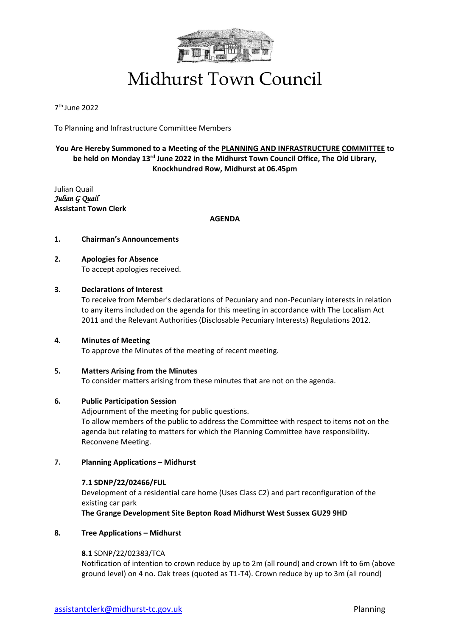

## Midhurst Town Council

7 th June 2022

To Planning and Infrastructure Committee Members

### **You Are Hereby Summoned to a Meeting of the PLANNING AND INFRASTRUCTURE COMMITTEE to**  be held on Monday 13<sup>rd</sup> June 2022 in the Midhurst Town Council Office, The Old Library, **Knockhundred Row, Midhurst at 06.45pm**

Julian Quail *Julian G Quail*  **Assistant Town Clerk**

**AGENDA**

#### **1. Chairman's Announcements**

#### **2. Apologies for Absence** To accept apologies received.

#### **3. Declarations of Interest**

To receive from Member's declarations of Pecuniary and non-Pecuniary interests in relation to any items included on the agenda for this meeting in accordance with The Localism Act 2011 and the Relevant Authorities (Disclosable Pecuniary Interests) Regulations 2012.

#### **4. Minutes of Meeting**

To approve the Minutes of the meeting of recent meeting.

#### **5. Matters Arising from the Minutes**

To consider matters arising from these minutes that are not on the agenda.

#### **6. Public Participation Session**

Adjournment of the meeting for public questions. To allow members of the public to address the Committee with respect to items not on the agenda but relating to matters for which the Planning Committee have responsibility. Reconvene Meeting.

#### **7. Planning Applications – Midhurst**

#### **7.1 SDNP/22/02466/FUL**

Development of a residential care home (Uses Class C2) and part reconfiguration of the existing car park

**The Grange Development Site Bepton Road Midhurst West Sussex GU29 9HD**

#### **8. Tree Applications – Midhurst**

#### **8.1** SDNP/22/02383/TCA

Notification of intention to crown reduce by up to 2m (all round) and crown lift to 6m (above ground level) on 4 no. Oak trees (quoted as T1-T4). Crown reduce by up to 3m (all round)